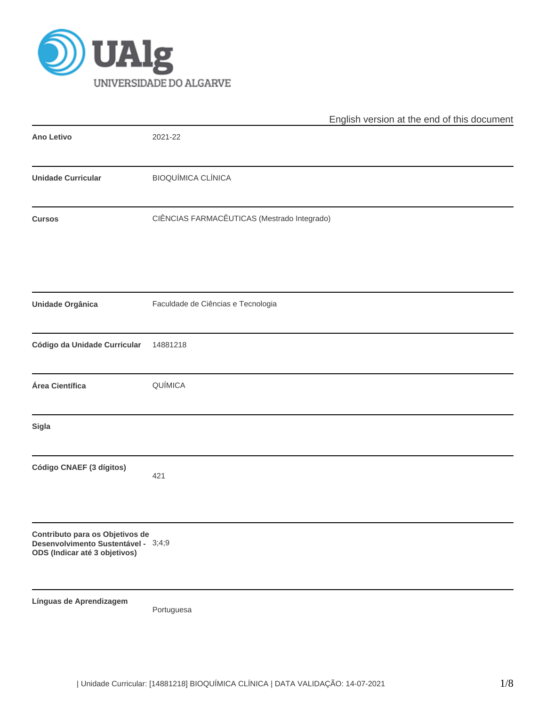

|                                                                                                         | English version at the end of this document |
|---------------------------------------------------------------------------------------------------------|---------------------------------------------|
| Ano Letivo                                                                                              | 2021-22                                     |
| <b>Unidade Curricular</b>                                                                               | <b>BIOQUÍMICA CLÍNICA</b>                   |
| <b>Cursos</b>                                                                                           | CIÊNCIAS FARMACÊUTICAS (Mestrado Integrado) |
| Unidade Orgânica                                                                                        | Faculdade de Ciências e Tecnologia          |
| Código da Unidade Curricular                                                                            | 14881218                                    |
| Área Científica                                                                                         | QUÍMICA                                     |
| Sigla                                                                                                   |                                             |
| Código CNAEF (3 dígitos)                                                                                | 421                                         |
| Contributo para os Objetivos de<br>Desenvolvimento Sustentável - 3;4;9<br>ODS (Indicar até 3 objetivos) |                                             |
| Línguas de Aprendizagem                                                                                 | Portuguesa                                  |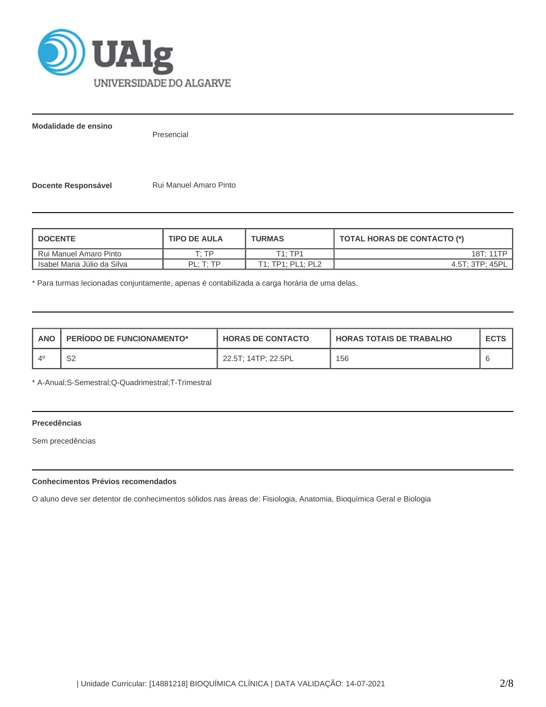

**Modalidade de ensino**

Presencial

**Docente Responsável Rui Manuel Amaro Pinto** 

| <b>DOCENTE</b>              | <b>TIPO DE AULA</b>   | <b>TURMAS</b>     | TOTAL HORAS DE CONTACTO (*) |  |  |
|-----------------------------|-----------------------|-------------------|-----------------------------|--|--|
| Rui Manuel Amaro Pinto      | ח די                  | T1:TP1            | 18T: 11TP                   |  |  |
| Isabel Maria Júlio da Silva | $PI \cdot T \cdot TP$ | T1: TP1: PL1: PL2 | 4.5T: 3TP: 45PL             |  |  |

\* Para turmas lecionadas conjuntamente, apenas é contabilizada a carga horária de uma delas.

| <b>ANO</b>  | <b>PERIODO DE FUNCIONAMENTO*</b> | <b>HORAS DE CONTACTO</b> | <b>I HORAS TOTAIS DE TRABALHO</b> | <b>ECTS</b> |
|-------------|----------------------------------|--------------------------|-----------------------------------|-------------|
| $\Lambda^0$ | S2                               | 22.5T: 14TP: 22.5PL      | 156                               |             |

\* A-Anual;S-Semestral;Q-Quadrimestral;T-Trimestral

# **Precedências**

Sem precedências

## **Conhecimentos Prévios recomendados**

O aluno deve ser detentor de conhecimentos sólidos nas áreas de: Fisiologia, Anatomia, Bioquímica Geral e Biologia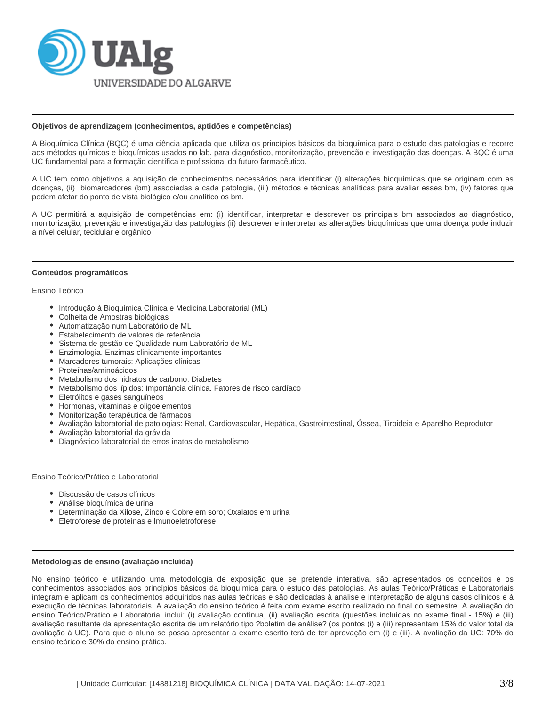

#### **Objetivos de aprendizagem (conhecimentos, aptidões e competências)**

A Bioquímica Clínica (BQC) é uma ciência aplicada que utiliza os princípios básicos da bioquímica para o estudo das patologias e recorre aos métodos químicos e bioquímicos usados no lab. para diagnóstico, monitorização, prevenção e investigação das doenças. A BQC é uma UC fundamental para a formação científica e profissional do futuro farmacêutico.

A UC tem como objetivos a aquisição de conhecimentos necessários para identificar (i) alterações bioquímicas que se originam com as doenças, (ii) biomarcadores (bm) associadas a cada patologia, (iii) métodos e técnicas analíticas para avaliar esses bm, (iv) fatores que podem afetar do ponto de vista biológico e/ou analítico os bm.

A UC permitirá a aquisição de competências em: (i) identificar, interpretar e descrever os principais bm associados ao diagnóstico, monitorização, prevenção e investigação das patologias (ii) descrever e interpretar as alterações bioquímicas que uma doença pode induzir a nível celular, tecidular e orgânico

#### **Conteúdos programáticos**

Ensino Teórico

- Introdução à Bioquímica Clínica e Medicina Laboratorial (ML)
- Colheita de Amostras biológicas
- Automatização num Laboratório de ML
- Estabelecimento de valores de referência
- Sistema de gestão de Qualidade num Laboratório de ML
- Enzimologia. Enzimas clinicamente importantes
- Marcadores tumorais: Aplicações clínicas
- Proteínas/aminoácidos
- Metabolismo dos hidratos de carbono. Diabetes
- Metabolismo dos lípidos: Importância clínica. Fatores de risco cardíaco
- Eletrólitos e gases sanguíneos
- Hormonas, vitaminas e oligoelementos
- Monitorização terapêutica de fármacos
- Avaliação laboratorial de patologias: Renal, Cardiovascular, Hepática, Gastrointestinal, Óssea, Tiroideia e Aparelho Reprodutor
- Avaliação laboratorial da grávida
- Diagnóstico laboratorial de erros inatos do metabolismo

Ensino Teórico/Prático e Laboratorial

- Discussão de casos clínicos
- Análise bioquímica de urina
- Determinação da Xilose, Zinco e Cobre em soro; Oxalatos em urina
- Eletroforese de proteínas e Imunoeletroforese

#### **Metodologias de ensino (avaliação incluída)**

No ensino teórico e utilizando uma metodologia de exposição que se pretende interativa, são apresentados os conceitos e os conhecimentos associados aos princípios básicos da bioquímica para o estudo das patologias. As aulas Teórico/Práticas e Laboratoriais integram e aplicam os conhecimentos adquiridos nas aulas teóricas e são dedicadas à análise e interpretação de alguns casos clínicos e à execução de técnicas laboratoriais. A avaliação do ensino teórico é feita com exame escrito realizado no final do semestre. A avaliação do ensino Teórico/Prático e Laboratorial inclui: (i) avaliação contínua, (ii) avaliação escrita (questões incluídas no exame final - 15%) e (iii) avaliação resultante da apresentação escrita de um relatório tipo ?boletim de análise? (os pontos (i) e (iii) representam 15% do valor total da avaliação à UC). Para que o aluno se possa apresentar a exame escrito terá de ter aprovação em (i) e (iii). A avaliação da UC: 70% do ensino teórico e 30% do ensino prático.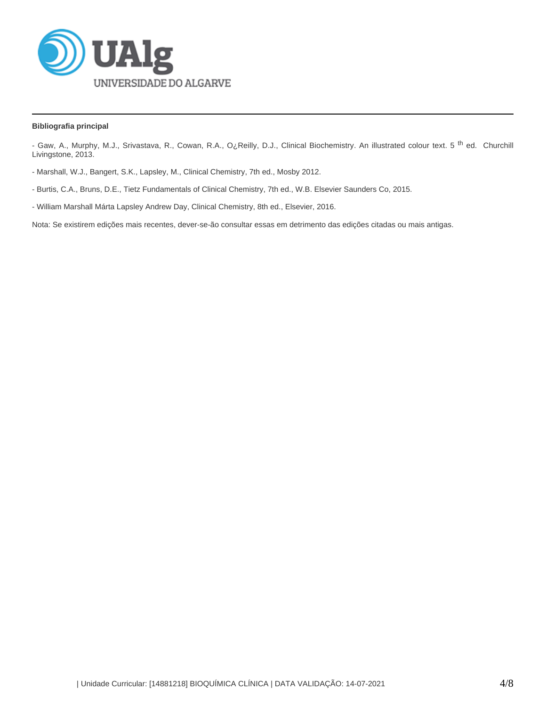

## **Bibliografia principal**

- Gaw, A., Murphy, M.J., Srivastava, R., Cowan, R.A., O¿Reilly, D.J., Clinical Biochemistry. An illustrated colour text. 5<sup>th</sup> ed. Churchill Livingstone, 2013.

- Marshall, W.J., Bangert, S.K., Lapsley, M., Clinical Chemistry, 7th ed., Mosby 2012.
- Burtis, C.A., Bruns, D.E., Tietz Fundamentals of Clinical Chemistry, 7th ed., W.B. Elsevier Saunders Co, 2015.
- William Marshall Márta Lapsley Andrew Day, Clinical Chemistry, 8th ed., Elsevier, 2016.

Nota: Se existirem edições mais recentes, dever-se-ão consultar essas em detrimento das edições citadas ou mais antigas.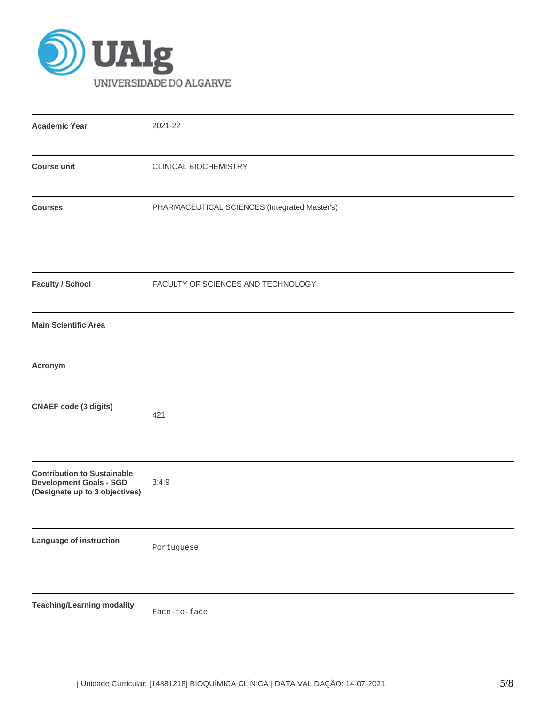

| <b>Academic Year</b>                                                                                   | 2021-22                                       |
|--------------------------------------------------------------------------------------------------------|-----------------------------------------------|
| <b>Course unit</b>                                                                                     | CLINICAL BIOCHEMISTRY                         |
| <b>Courses</b>                                                                                         | PHARMACEUTICAL SCIENCES (Integrated Master's) |
| <b>Faculty / School</b>                                                                                | FACULTY OF SCIENCES AND TECHNOLOGY            |
| <b>Main Scientific Area</b>                                                                            |                                               |
| Acronym                                                                                                |                                               |
| <b>CNAEF</b> code (3 digits)                                                                           | 421                                           |
| <b>Contribution to Sustainable</b><br><b>Development Goals - SGD</b><br>(Designate up to 3 objectives) | 3;4;9                                         |
| Language of instruction                                                                                | Portuguese                                    |
| <b>Teaching/Learning modality</b>                                                                      |                                               |

Face-to-face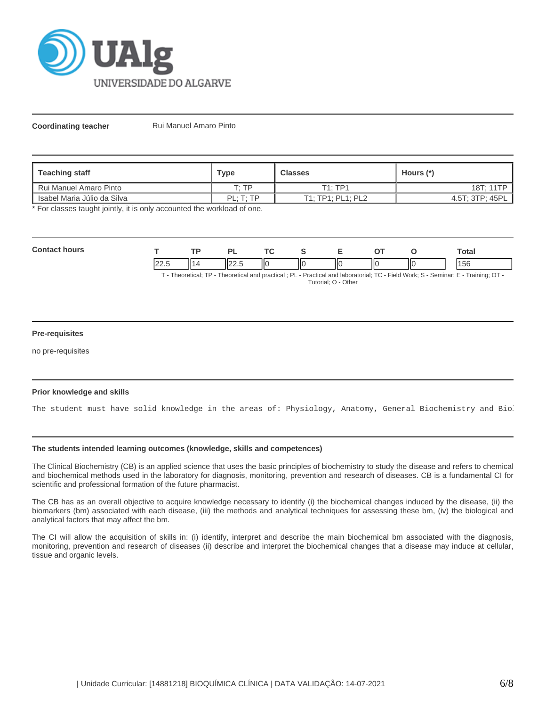

**Coordinating teacher** Rui Manuel Amaro Pinto

| Teaching staff                  | Type                  | <b>Classes</b>    | Hours (*)       |
|---------------------------------|-----------------------|-------------------|-----------------|
| <b>I</b> Rui Manuel Amaro Pinto | т. тр                 | T1: TP1           | 18T: 11TP       |
| Isabel Maria Júlio da Silva     | $PI \cdot T \cdot TP$ | T1; TP1; PL1; PL2 | 4.5T; 3TP; 45PL |

\* For classes taught jointly, it is only accounted the workload of one.

| Com<br>hours |                       |     | יכ    |    |      | - | ⌒⊤ |    | ⊺otal     |
|--------------|-----------------------|-----|-------|----|------|---|----|----|-----------|
|              | $\sim$<br>22.J<br>$-$ | 1 A | 122.5 | IЮ | -llc |   | ΙЮ | ΠС | AEC<br>эc |

T - Theoretical; TP - Theoretical and practical ; PL - Practical and laboratorial; TC - Field Work; S - Seminar; E - Training; OT - Tutorial; O - Other

### **Pre-requisites**

no pre-requisites

### **Prior knowledge and skills**

The student must have solid knowledge in the areas of: Physiology, Anatomy, General Biochemistry and Bio.

## **The students intended learning outcomes (knowledge, skills and competences)**

The Clinical Biochemistry (CB) is an applied science that uses the basic principles of biochemistry to study the disease and refers to chemical and biochemical methods used in the laboratory for diagnosis, monitoring, prevention and research of diseases. CB is a fundamental CI for scientific and professional formation of the future pharmacist.

The CB has as an overall objective to acquire knowledge necessary to identify (i) the biochemical changes induced by the disease, (ii) the biomarkers (bm) associated with each disease, (iii) the methods and analytical techniques for assessing these bm, (iv) the biological and analytical factors that may affect the bm.

The CI will allow the acquisition of skills in: (i) identify, interpret and describe the main biochemical bm associated with the diagnosis, monitoring, prevention and research of diseases (ii) describe and interpret the biochemical changes that a disease may induce at cellular, tissue and organic levels.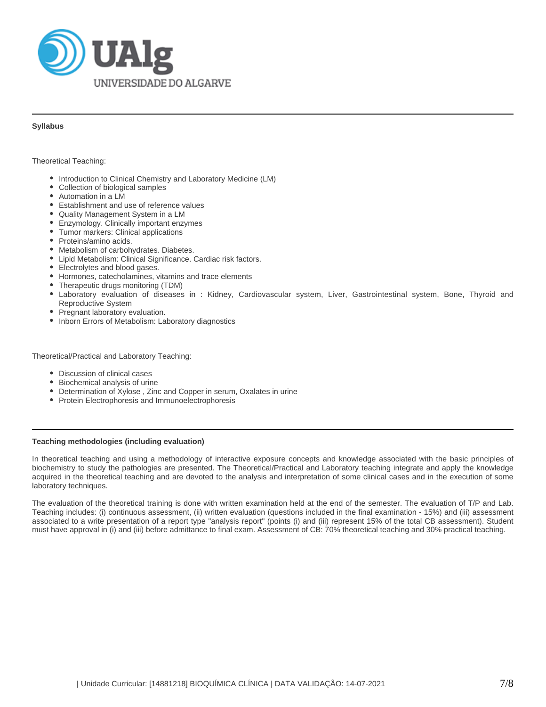

### **Syllabus**

Theoretical Teaching:

- Introduction to Clinical Chemistry and Laboratory Medicine (LM)
- Collection of biological samples
- Automation in a LM
- Establishment and use of reference values
- Quality Management System in a LM
- Enzymology. Clinically important enzymes
- Tumor markers: Clinical applications
- Proteins/amino acids.
- $\bullet$ Metabolism of carbohydrates. Diabetes.
- Lipid Metabolism: Clinical Significance. Cardiac risk factors.
- Electrolytes and blood gases.
- Hormones, catecholamines, vitamins and trace elements
- Therapeutic drugs monitoring (TDM)
- $\bullet$ Laboratory evaluation of diseases in : Kidney, Cardiovascular system, Liver, Gastrointestinal system, Bone, Thyroid and Reproductive System
- Pregnant laboratory evaluation.
- Inborn Errors of Metabolism: Laboratory diagnostics

Theoretical/Practical and Laboratory Teaching:

- Discussion of clinical cases
- Biochemical analysis of urine
- Determination of Xylose , Zinc and Copper in serum, Oxalates in urine
- Protein Electrophoresis and Immunoelectrophoresis

#### **Teaching methodologies (including evaluation)**

In theoretical teaching and using a methodology of interactive exposure concepts and knowledge associated with the basic principles of biochemistry to study the pathologies are presented. The Theoretical/Practical and Laboratory teaching integrate and apply the knowledge acquired in the theoretical teaching and are devoted to the analysis and interpretation of some clinical cases and in the execution of some laboratory techniques.

The evaluation of the theoretical training is done with written examination held at the end of the semester. The evaluation of T/P and Lab. Teaching includes: (i) continuous assessment, (ii) written evaluation (questions included in the final examination - 15%) and (iii) assessment associated to a write presentation of a report type "analysis report" (points (i) and (iii) represent 15% of the total CB assessment). Student must have approval in (i) and (iii) before admittance to final exam. Assessment of CB: 70% theoretical teaching and 30% practical teaching.